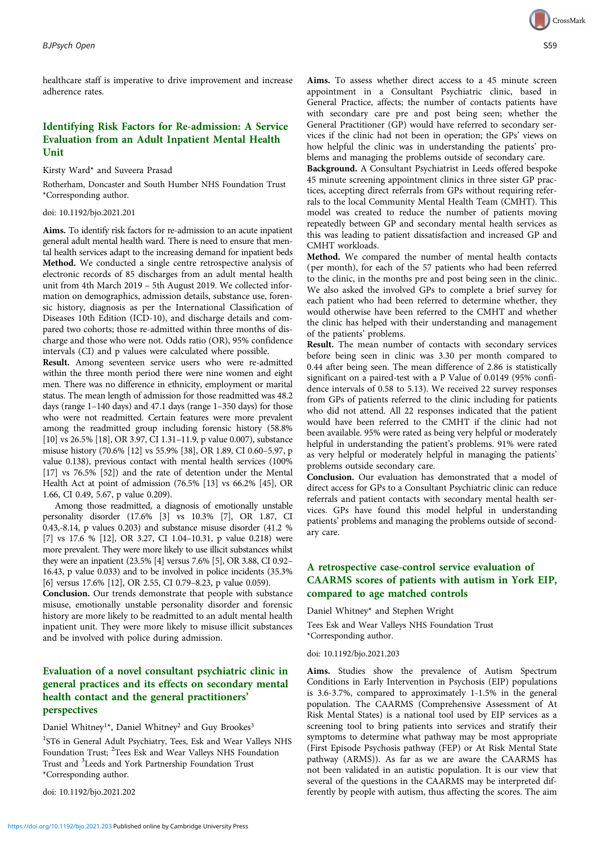healthcare staff is imperative to drive improvement and increase adherence rates.

# Identifying Risk Factors for Re-admission: A Service Evaluation from an Adult Inpatient Mental Health Unit

Kirsty Ward\* and Suveera Prasad

Rotherham, Doncaster and South Humber NHS Foundation Trust \*Corresponding author.

#### doi: 10.1192/bjo.2021.201

Aims. To identify risk factors for re-admission to an acute inpatient general adult mental health ward. There is need to ensure that mental health services adapt to the increasing demand for inpatient beds Method. We conducted a single centre retrospective analysis of electronic records of 85 discharges from an adult mental health unit from 4th March 2019 – 5th August 2019. We collected information on demographics, admission details, substance use, forensic history, diagnosis as per the International Classification of Diseases 10th Edition (ICD-10), and discharge details and compared two cohorts; those re-admitted within three months of discharge and those who were not. Odds ratio (OR), 95% confidence intervals (CI) and p values were calculated where possible.

Result. Among seventeen service users who were re-admitted within the three month period there were nine women and eight men. There was no difference in ethnicity, employment or marital status. The mean length of admission for those readmitted was 48.2 days (range 1–140 days) and 47.1 days (range 1–350 days) for those who were not readmitted. Certain features were more prevalent among the readmitted group including forensic history (58.8% [10] vs 26.5% [18], OR 3.97, CI 1.31–11.9, p value 0.007), substance misuse history (70.6% [12] vs 55.9% [38], OR 1.89, CI 0.60–5.97, p value 0.138), previous contact with mental health services (100% [17] vs 76.5% [52]) and the rate of detention under the Mental Health Act at point of admission (76.5% [13] vs 66.2% [45], OR 1.66, CI 0.49, 5.67, p value 0.209).

Among those readmitted, a diagnosis of emotionally unstable personality disorder (17.6% [3] vs 10.3% [7], OR 1.87, CI 0.43,-8.14, p values 0.203) and substance misuse disorder (41.2 % [7] vs 17.6 % [12], OR 3.27, CI 1.04–10.31, p value 0.218) were more prevalent. They were more likely to use illicit substances whilst they were an inpatient (23.5% [4] versus 7.6% [5], OR 3.88, CI 0.92– 16.43, p value 0.033) and to be involved in police incidents (35.3% [6] versus 17.6% [12], OR 2.55, CI 0.79–8.23, p value 0.059).

Conclusion. Our trends demonstrate that people with substance misuse, emotionally unstable personality disorder and forensic history are more likely to be readmitted to an adult mental health inpatient unit. They were more likely to misuse illicit substances and be involved with police during admission.

## Evaluation of a novel consultant psychiatric clinic in general practices and its effects on secondary mental health contact and the general practitioners' perspectives

Daniel Whitney<sup>1\*</sup>, Daniel Whitney<sup>2</sup> and Guy Brookes<sup>3</sup>

<sup>1</sup>ST6 in General Adult Psychiatry, Tees, Esk and Wear Valleys NHS Foundation Trust; <sup>2</sup>Tees Esk and Wear Valleys NHS Foundation Trust and <sup>3</sup> Leeds and York Partnership Foundation Trust \*Corresponding author.

doi: 10.1192/bjo.2021.202



Aims. To assess whether direct access to a 45 minute screen appointment in a Consultant Psychiatric clinic, based in General Practice, affects; the number of contacts patients have with secondary care pre and post being seen; whether the General Practitioner (GP) would have referred to secondary services if the clinic had not been in operation; the GPs' views on how helpful the clinic was in understanding the patients' problems and managing the problems outside of secondary care.

Background. A Consultant Psychiatrist in Leeds offered bespoke 45 minute screening appointment clinics in three sister GP practices, accepting direct referrals from GPs without requiring referrals to the local Community Mental Health Team (CMHT). This model was created to reduce the number of patients moving repeatedly between GP and secondary mental health services as this was leading to patient dissatisfaction and increased GP and CMHT workloads.

Method. We compared the number of mental health contacts (per month), for each of the 57 patients who had been referred to the clinic, in the months pre and post being seen in the clinic. We also asked the involved GPs to complete a brief survey for each patient who had been referred to determine whether, they would otherwise have been referred to the CMHT and whether the clinic has helped with their understanding and management of the patients' problems.

Result. The mean number of contacts with secondary services before being seen in clinic was 3.30 per month compared to 0.44 after being seen. The mean difference of 2.86 is statistically significant on a paired-test with a P Value of 0.0149 (95% confidence intervals of 0.58 to 5.13). We received 22 survey responses from GPs of patients referred to the clinic including for patients who did not attend. All 22 responses indicated that the patient would have been referred to the CMHT if the clinic had not been available. 95% were rated as being very helpful or moderately helpful in understanding the patient's problems. 91% were rated as very helpful or moderately helpful in managing the patients' problems outside secondary care.

Conclusion. Our evaluation has demonstrated that a model of direct access for GPs to a Consultant Psychiatric clinic can reduce referrals and patient contacts with secondary mental health services. GPs have found this model helpful in understanding patients' problems and managing the problems outside of secondary care.

## A retrospective case-control service evaluation of CAARMS scores of patients with autism in York EIP, compared to age matched controls

Daniel Whitney\* and Stephen Wright Tees Esk and Wear Valleys NHS Foundation Trust \*Corresponding author.

doi: 10.1192/bjo.2021.203

Aims. Studies show the prevalence of Autism Spectrum Conditions in Early Intervention in Psychosis (EIP) populations is 3.6-3.7%, compared to approximately 1-1.5% in the general population. The CAARMS (Comprehensive Assessment of At Risk Mental States) is a national tool used by EIP services as a screening tool to bring patients into services and stratify their symptoms to determine what pathway may be most appropriate (First Episode Psychosis pathway (FEP) or At Risk Mental State pathway (ARMS)). As far as we are aware the CAARMS has not been validated in an autistic population. It is our view that several of the questions in the CAARMS may be interpreted differently by people with autism, thus affecting the scores. The aim